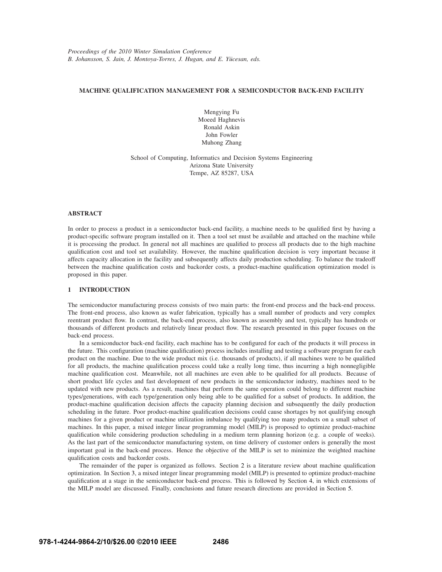## **MACHINE QUALIFICATION MANAGEMENT FOR A SEMICONDUCTOR BACK-END FACILITY**

Mengying Fu Moeed Haghnevis Ronald Askin John Fowler Muhong Zhang

School of Computing, Informatics and Decision Systems Engineering Arizona State University Tempe, AZ 85287, USA

## **ABSTRACT**

In order to process a product in a semiconductor back-end facility, a machine needs to be qualified first by having a product-specific software program installed on it. Then a tool set must be available and attached on the machine while it is processing the product. In general not all machines are qualified to process all products due to the high machine qualification cost and tool set availability. However, the machine qualification decision is very important because it affects capacity allocation in the facility and subsequently affects daily production scheduling. To balance the tradeoff between the machine qualification costs and backorder costs, a product-machine qualification optimization model is proposed in this paper.

# **1 INTRODUCTION**

The semiconductor manufacturing process consists of two main parts: the front-end process and the back-end process. The front-end process, also known as wafer fabrication, typically has a small number of products and very complex reentrant product flow. In contrast, the back-end process, also known as assembly and test, typically has hundreds or thousands of different products and relatively linear product flow. The research presented in this paper focuses on the back-end process.

In a semiconductor back-end facility, each machine has to be configured for each of the products it will process in the future. This configuration (machine qualification) process includes installing and testing a software program for each product on the machine. Due to the wide product mix (i.e. thousands of products), if all machines were to be qualified for all products, the machine qualification process could take a really long time, thus incurring a high nonnegligible machine qualification cost. Meanwhile, not all machines are even able to be qualified for all products. Because of short product life cycles and fast development of new products in the semiconductor industry, machines need to be updated with new products. As a result, machines that perform the same operation could belong to different machine types/generations, with each type/generation only being able to be qualified for a subset of products. In addition, the product-machine qualification decision affects the capacity planning decision and subsequently the daily production scheduling in the future. Poor product-machine qualification decisions could cause shortages by not qualifying enough machines for a given product or machine utilization imbalance by qualifying too many products on a small subset of machines. In this paper, a mixed integer linear programming model (MILP) is proposed to optimize product-machine qualification while considering production scheduling in a medium term planning horizon (e.g. a couple of weeks). As the last part of the semiconductor manufacturing system, on time delivery of customer orders is generally the most important goal in the back-end process. Hence the objective of the MILP is set to minimize the weighted machine qualification costs and backorder costs.

The remainder of the paper is organized as follows. Section 2 is a literature review about machine qualification optimization. In Section 3, a mixed integer linear programming model (MILP) is presented to optimize product-machine qualification at a stage in the semiconductor back-end process. This is followed by Section 4, in which extensions of the MILP model are discussed. Finally, conclusions and future research directions are provided in Section 5.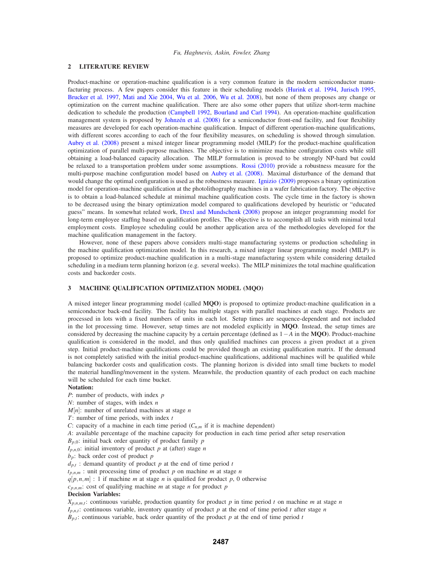# **2 LITERATURE REVIEW**

Product-machine or operation-machine qualification is a very common feature in the modern semiconductor manufacturing process. A few papers consider this feature in their scheduling models (Hurink et al. 1994, Jurisch 1995, Brucker et al. 1997, Mati and Xie 2004, Wu et al. 2006, Wu et al. 2008), but none of them proposes any change or optimization on the current machine qualification. There are also some other papers that utilize short-term machine dedication to schedule the production (Campbell 1992, Bourland and Carl 1994). An operation-machine qualification management system is proposed by Johnzen et al. (2008) for a semiconductor front-end facility, and four flexibility measures are developed for each operation-machine qualification. Impact of different operation-machine qualifications, with different scores according to each of the four flexibility measures, on scheduling is showed through simulation. Aubry et al. (2008) present a mixed integer linear programming model (MILP) for the product-machine qualification optimization of parallel multi-purpose machines. The objective is to minimize machine configuration costs while still obtaining a load-balanced capacity allocation. The MILP formulation is proved to be strongly NP-hard but could be relaxed to a transportation problem under some assumptions. Rossi (2010) provide a robustness measure for the multi-purpose machine configuration model based on Aubry et al. (2008). Maximal disturbance of the demand that would change the optimal configuration is used as the robustness measure. Ignizio (2009) proposes a binary optimization model for operation-machine qualification at the photolithography machines in a wafer fabrication factory. The objective is to obtain a load-balanced schedule at minimal machine qualification costs. The cycle time in the factory is shown to be decreased using the binary optimization model compared to qualifications developed by heuristic or "educated guess" means. In somewhat related work, Drexl and Mundschenk (2008) propose an integer programming model for long-term employee staffing based on qualification profiles. The objective is to accomplish all tasks with minimal total employment costs. Employee scheduling could be another application area of the methodologies developed for the machine qualification management in the factory.

However, none of these papers above considers multi-stage manufacturing systems or production scheduling in the machine qualification optimization model. In this research, a mixed integer linear programming model (MILP) is proposed to optimize product-machine qualification in a multi-stage manufacturing system while considering detailed scheduling in a medium term planning horizon (e.g. several weeks). The MILP minimizes the total machine qualification costs and backorder costs.

# **3 MACHINE QUALIFICATION OPTIMIZATION MODEL (MQO)**

A mixed integer linear programming model (called **MQO**) is proposed to optimize product-machine qualification in a semiconductor back-end facility. The facility has multiple stages with parallel machines at each stage. Products are processed in lots with a fixed numbers of units in each lot. Setup times are sequence-dependent and not included in the lot processing time. However, setup times are not modeled explicitly in **MQO**. Instead, the setup times are considered by decreasing the machine capacity by a certain percentage (defined as 1−*A* in the **MQO**). Product-machine qualification is considered in the model, and thus only qualified machines can process a given product at a given step. Initial product-machine qualifications could be provided though an existing qualification matrix. If the demand is not completely satisfied with the initial product-machine qualifications, additional machines will be qualified while balancing backorder costs and qualification costs. The planning horizon is divided into small time buckets to model the material handling/movement in the system. Meanwhile, the production quantity of each product on each machine will be scheduled for each time bucket.

### **Notation:**

*P*: number of products, with index *p*

*N*: number of stages, with index *n*

 $M[n]$ : number of unrelated machines at stage *n* 

*T*: number of time periods, with index *t*

*C*: capacity of a machine in each time period  $(C_{n,m}$  if it is machine dependent)

*A*: available percentage of the machine capacity for production in each time period after setup reservation

*Bp*,0: initial back order quantity of product family *p*

 $I_{p,n,0}$ : initial inventory of product *p* at (after) stage *n* 

*bp*: back order cost of product *p*

 $d_{p,t}$ : demand quantity of product *p* at the end of time period *t* 

 $t_{p,n,m}$ : unit processing time of product *p* on machine *m* at stage *n* 

 $q[p,n,m]$ : 1 if machine *m* at stage *n* is qualified for product *p*, 0 otherwise

 $c_{p,n,m}$ : cost of qualifying machine *m* at stage *n* for product *p* 

### **Decision Variables:**

 $X_{p,n,m,t}$ : continuous variable, production quantity for product *p* in time period *t* on machine *m* at stage *n* 

 $I_{p,n,t}$ : continuous variable, inventory quantity of product *p* at the end of time period *t* after stage *n*  $B_{p,t}$ : continuous variable, back order quantity of the product *p* at the end of time period *t*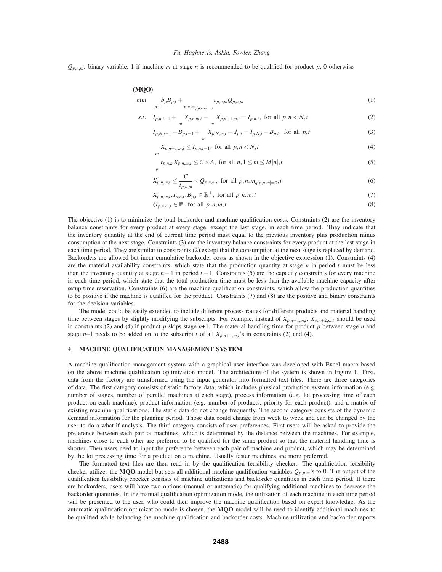$Q_{p,n,m}$ : binary variable, 1 if machine *m* at stage *n* is recommended to be qualified for product *p*, 0 otherwise

#### **(MQO)**

$$
min \sum_{p,t} b_p B_{p,t} + \sum_{p,n,m_q(p,n,m)=0} c_{p,n,m} Q_{p,n,m}
$$
\n(1)

s.t. 
$$
I_{p,n,t-1} + \sum_{m} X_{p,n,m,t} - \sum_{m} X_{p,n+1,m,t} = I_{p,n,t}
$$
, for all  $p, n < N, t$  (2)

$$
I_{p,N,t-1} - B_{p,t-1} + \sum_{m} X_{p,N,m,t} - d_{p,t} = I_{p,N,t} - B_{p,t}, \text{ for all } p,t
$$
 (3)

$$
\sum_{m} X_{p,n+1,m,t} \le I_{p,n,t-1}, \text{ for all } p,n < N,t \tag{4}
$$

$$
\sum_{p} t_{p,n,m} X_{p,n,m,t} \le C \times A, \text{ for all } n, 1 \le m \le M[n], t
$$
 (5)

$$
X_{p,n,m,t} \le \frac{C}{t_{p,n,m}} \times Q_{p,n,m}, \text{ for all } p,n,m_{q[p,n,m]=0}, t
$$
 (6)

$$
X_{p,n,m,t}, I_{p,n,t}, B_{p,t} \in \mathbb{R}^+, \text{ for all } p,n,m,t
$$
\n<sup>(7)</sup>

$$
Q_{p,n,m,t} \in \mathbb{B}, \text{ for all } p,n,m,t
$$
\n
$$
(8)
$$

The objective (1) is to minimize the total backorder and machine qualification costs. Constraints (2) are the inventory balance constraints for every product at every stage, except the last stage, in each time period. They indicate that the inventory quantity at the end of current time period must equal to the previous inventory plus production minus consumption at the next stage. Constraints (3) are the inventory balance constraints for every product at the last stage in each time period. They are similar to constraints (2) except that the consumption at the next stage is replaced by demand. Backorders are allowed but incur cumulative backorder costs as shown in the objective expression (1). Constraints (4) are the material availability constraints, which state that the production quantity at stage *n* in period *t* must be less than the inventory quantity at stage  $n-1$  in period  $t-1$ . Constraints (5) are the capacity constraints for every machine in each time period, which state that the total production time must be less than the available machine capacity after setup time reservation. Constraints (6) are the machine qualification constraints, which allow the production quantities to be positive if the machine is qualified for the product. Constraints (7) and (8) are the positive and binary constraints for the decision variables.

The model could be easily extended to include different process routes for different products and material handling time between stages by slightly modifying the subscripts. For example, instead of  $X_{p,n+1,m,t}$ ,  $X_{p,n+2,m,t}$  should be used in constraints (2) and (4) if product *p* skips stage *n*+1. The material handling time for product *p* between stage *n* and stage  $n+1$  needs to be added on to the subscript *t* of all  $X_{p,n+1,m,t}$ 's in constraints (2) and (4).

# **4 MACHINE QUALIFICATION MANAGEMENT SYSTEM**

A machine qualification management system with a graphical user interface was developed with Excel macro based on the above machine qualification optimization model. The architecture of the system is shown in Figure 1. First, data from the factory are transformed using the input generator into formatted text files. There are three categories of data. The first category consists of static factory data, which includes physical production system information (e.g. number of stages, number of parallel machines at each stage), process information (e.g. lot processing time of each product on each machine), product information (e.g. number of products, priority for each product), and a matrix of existing machine qualifications. The static data do not change frequently. The second category consists of the dynamic demand information for the planning period. Those data could change from week to week and can be changed by the user to do a what-if analysis. The third category consists of user preferences. First users will be asked to provide the preference between each pair of machines, which is determined by the distance between the machines. For example, machines close to each other are preferred to be qualified for the same product so that the material handling time is shorter. Then users need to input the preference between each pair of machine and product, which may be determined by the lot processing time for a product on a machine. Usually faster machines are more preferred.

The formatted text files are then read in by the qualification feasibility checker. The qualification feasibility checker utilizes the **MQO** model but sets all additional machine qualification variables  $Q_{p,n,m}$ 's to 0. The output of the qualification feasibility checker consists of machine utilizations and backorder quantities in each time period. If there are backorders, users will have two options (manual or automatic) for qualifying additional machines to decrease the backorder quantities. In the manual qualification optimization mode, the utilization of each machine in each time period will be presented to the user, who could then improve the machine qualification based on expert knowledge. As the automatic qualification optimization mode is chosen, the **MQO** model will be used to identify additional machines to be qualified while balancing the machine qualification and backorder costs. Machine utilization and backorder reports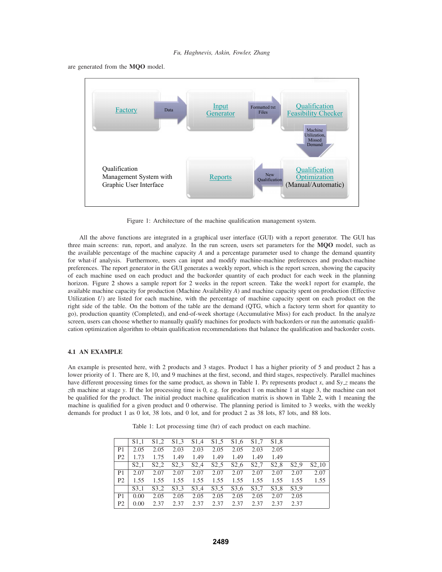are generated from the **MQO** model.



Figure 1: Architecture of the machine qualification management system.

All the above functions are integrated in a graphical user interface (GUI) with a report generator. The GUI has three main screens: run, report, and analyze. In the run screen, users set parameters for the **MQO** model, such as the available percentage of the machine capacity *A* and a percentage parameter used to change the demand quantity for what-if analysis. Furthermore, users can input and modify machine-machine preferences and product-machine preferences. The report generator in the GUI generates a weekly report, which is the report screen, showing the capacity of each machine used on each product and the backorder quantity of each product for each week in the planning horizon. Figure 2 shows a sample report for 2 weeks in the report screen. Take the week1 report for example, the available machine capacity for production (Machine Availability *A*) and machine capacity spent on production (Effective Utilization *U*) are listed for each machine, with the percentage of machine capacity spent on each product on the right side of the table. On the bottom of the table are the demand (QTG, which a factory term short for quantity to go), production quantity (Completed), and end-of-week shortage (Accumulative Miss) for each product. In the analyze screen, users can choose whether to manually qualify machines for products with backorders or run the automatic qualification optimization algorithm to obtain qualification recommendations that balance the qualification and backorder costs.

# **4.1 AN EXAMPLE**

An example is presented here, with 2 products and 3 stages. Product 1 has a higher priority of 5 and product 2 has a lower priority of 1. There are 8, 10, and 9 machines at the first, second, and third stages, respectively. Parallel machines have different processing times for the same product, as shown in Table 1. Px represents product x, and Sy<sub>Z</sub> means the *z*th machine at stage *y*. If the lot processing time is 0, e.g. for product 1 on machine 1 at stage 3, the machine can not be qualified for the product. The initial product machine qualification matrix is shown in Table 2, with 1 meaning the machine is qualified for a given product and 0 otherwise. The planning period is limited to 3 weeks, with the weekly demands for product 1 as 0 lot, 38 lots, and 0 lot, and for product 2 as 38 lots, 87 lots, and 88 lots.

Table 1: Lot processing time (hr) of each product on each machine.

|                | S <sub>1</sub> 1 |           |      | S1.2 S1.3 S1.4 S1.5 S1.6 S1.7 S1.8      |  |           |        |         |
|----------------|------------------|-----------|------|-----------------------------------------|--|-----------|--------|---------|
| P <sub>1</sub> | 2.05             | 2.05      |      | 2.03 2.03 2.05 2.05 2.03 2.05           |  |           |        |         |
| P2             | 1.73             | 1.75 1.49 |      | 1.49 1.49 1.49 1.49 1.49                |  |           |        |         |
|                | $S2_{-1}$        |           |      | S2.2 S2.3 S2.4 S2.5 S2.6 S2.7 S2.8      |  |           | $S2-9$ | $S2_10$ |
| <b>P1</b>      | 2.07             |           |      | 2.07 2.07 2.07 2.07 2.07 2.07 2.07 2.07 |  |           |        | 2.07    |
| P2             |                  |           |      |                                         |  |           |        |         |
|                | S <sub>3</sub> 1 | S3 2      |      | S3.3 S3.4 S3.5 S3.6 S3.7 S3.8           |  |           | S3_9   |         |
| P <sub>1</sub> | 0.00             | 2.05      | 2.05 | 2.05 2.05 2.05 2.05 2.07 2.05           |  |           |        |         |
| P <sub>2</sub> | 0.00             |           |      | 2.37 2.37 2.37 2.37 2.37 2.37           |  | 2.37 2.37 |        |         |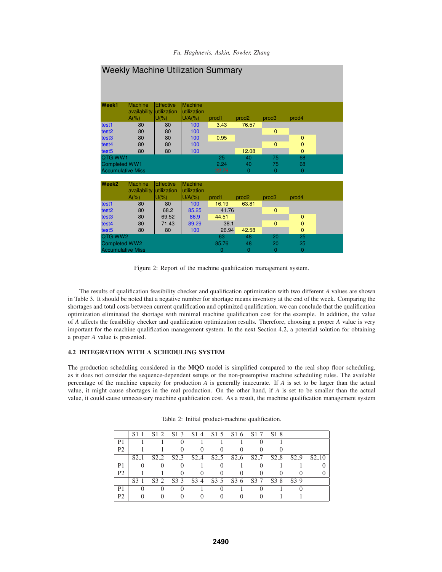*Fu, Haghnevis, Askin, Fowler, Zhang*

| <b>Weekly Machine Utilization Summary</b> |                |                  |                |       |                   |                   |                |  |  |  |
|-------------------------------------------|----------------|------------------|----------------|-------|-------------------|-------------------|----------------|--|--|--|
| Week1                                     | <b>Machine</b> | <b>Effective</b> | Machine        |       |                   |                   |                |  |  |  |
|                                           | availability   | utilization      | utilization    |       |                   |                   |                |  |  |  |
|                                           | $A(\% )$       | $U(\% )$         | $U/A$ (%)      | prod1 | prod <sub>2</sub> | prod <sub>3</sub> | prod4          |  |  |  |
| test1                                     | 80             | 80               | 100            | 3.43  | 76.57             |                   |                |  |  |  |
| test <sub>2</sub>                         | 80             | 80               | 100            |       |                   | $\mathbf{0}$      |                |  |  |  |
| test3                                     | 80             | 80               | 100            | 0.95  |                   |                   | $\overline{0}$ |  |  |  |
| test4                                     | 80             | 80               | 100            |       | 12.08             | $\mathbf{0}$      | $\mathbf 0$    |  |  |  |
| test <sub>5</sub><br>QTG WW1              | 80             | 80               | 100            | 25    | 40                | 75                | $\Omega$<br>68 |  |  |  |
| Completed WW1                             |                |                  |                | 2.24  | 40                | 75                | 68             |  |  |  |
| <b>Accumulative Miss</b>                  |                |                  |                | 22.76 | $\overline{0}$    | $\overline{0}$    | $\overline{0}$ |  |  |  |
|                                           |                |                  |                |       |                   |                   |                |  |  |  |
| Week <sub>2</sub>                         | <b>Machine</b> | <b>Effective</b> | <b>Machine</b> |       |                   |                   |                |  |  |  |
|                                           | availability   | utilization      | utilization    |       |                   |                   |                |  |  |  |
|                                           | $A(\%)$        | $U(\%)$          | $U/A$ (%)      | prod1 | prod <sub>2</sub> | prod <sub>3</sub> | prod4          |  |  |  |
| test1                                     | 80             | 80               | 100            | 16.19 | 63.81             |                   |                |  |  |  |
| test <sub>2</sub>                         | 80             | 68.2             | 85.25          | 41.76 |                   | $\mathbf{0}$      |                |  |  |  |
| test3                                     | 80             | 69.52            | 86.9           | 44.51 |                   |                   | $\mathbf 0$    |  |  |  |
| test4                                     | 80             | 71.43            | 89.29          | 38.1  |                   | $\mathbf{0}$      | $\mathbf 0$    |  |  |  |
| test <sub>5</sub>                         | 80             | 80               | 100            | 26.94 | 42.58             |                   | $\Omega$       |  |  |  |
| QTG WW2                                   |                |                  |                | 63    | 48                | 20                | 25             |  |  |  |
| Completed WW2                             |                |                  |                | 85.76 | 48                | 20                | 25             |  |  |  |
| <b>Accumulative Miss</b>                  |                |                  |                | 0     | 0                 | $\overline{0}$    | $\overline{0}$ |  |  |  |

Figure 2: Report of the machine qualification management system.

The results of qualification feasibility checker and qualification optimization with two different *A* values are shown in Table 3. It should be noted that a negative number for shortage means inventory at the end of the week. Comparing the shortages and total costs between current qualification and optimized qualification, we can conclude that the qualification optimization eliminated the shortage with minimal machine qualification cost for the example. In addition, the value of *A* affects the feasibility checker and qualification optimization results. Therefore, choosing a proper *A* value is very important for the machine qualification management system. In the next Section 4.2, a potential solution for obtaining a proper *A* value is presented.

# **4.2 INTEGRATION WITH A SCHEDULING SYSTEM**

The production scheduling considered in the **MQO** model is simplified compared to the real shop floor scheduling, as it does not consider the sequence-dependent setups or the non-preemptive machine scheduling rules. The available percentage of the machine capacity for production *A* is generally inaccurate. If *A* is set to be larger than the actual value, it might cause shortages in the real production. On the other hand, if *A* is set to be smaller than the actual value, it could cause unnecessary machine qualification cost. As a result, the machine qualification management system

|                | S <sub>1</sub> 1 |      |                          |          |          | S1.2 S1.3 S1.4 S1.5 S1.6 S1.7 S1.8 |                  |                   |            |
|----------------|------------------|------|--------------------------|----------|----------|------------------------------------|------------------|-------------------|------------|
| P1             |                  |      |                          |          |          |                                    |                  |                   |            |
| P <sub>2</sub> |                  |      | $\Omega$                 |          | $\Omega$ |                                    |                  |                   |            |
|                | S <sub>2</sub> 1 |      |                          |          |          | S2_2 S2_3 S2_4 S2_5 S2_6 S2_7 S2_8 |                  | S <sub>2</sub> 9  | $S2_{-}10$ |
| P <sub>1</sub> |                  |      |                          |          |          |                                    |                  |                   |            |
| P <sub>2</sub> |                  |      | $\Omega$                 | $\Omega$ | $\Omega$ | $\Omega$                           | $\Omega$         |                   |            |
|                | S3 1             | S3 2 | S3.3 S3.4 S3.5 S3.6 S3.7 |          |          |                                    | S3 <sub>-8</sub> | S <sub>3</sub> _9 |            |
| P1             |                  |      |                          |          |          |                                    |                  |                   |            |
| P <sub>2</sub> |                  |      |                          |          |          |                                    |                  |                   |            |

Table 2: Initial product-machine qualification.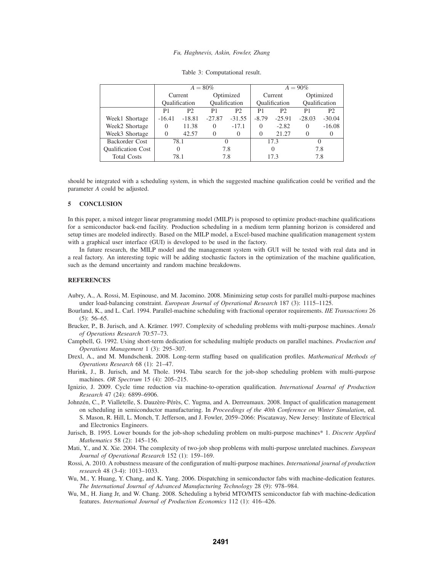|                           | $A = 80\%$           |          |                      |          | $A = 90\%$           |                |                      |          |
|---------------------------|----------------------|----------|----------------------|----------|----------------------|----------------|----------------------|----------|
|                           | Current              |          | Optimized            |          | Current              |                | Optimized            |          |
|                           | <b>Qualification</b> |          | <b>Oualification</b> |          | <b>Qualification</b> |                | <b>Qualification</b> |          |
|                           | P1                   | P2       | P1                   | P2       | P1                   | P <sub>2</sub> | P1                   | P2       |
| Week1 Shortage            | $-16.41$             | $-18.81$ | $-27.87$             | $-31.55$ | $-8.79$              | $-25.91$       | $-28.03$             | $-30.04$ |
| Week2 Shortage            | $\Omega$             | 11.38    | $\Omega$             | $-17.1$  | $\Omega$             | $-2.82$        | $\Omega$             | $-16.08$ |
| Week3 Shortage            | $\Omega$             | 42.57    | $\Omega$             | $\Omega$ | 0                    | 21.27          | $\Omega$             | $\Omega$ |
| Backorder Cost            | 78.1                 |          | $\left( \right)$     |          | 17.3                 |                | $\Omega$             |          |
| <b>Oualification Cost</b> | $\Omega$             |          | 7.8                  |          |                      |                | 7.8                  |          |
| <b>Total Costs</b>        | 78.1                 |          | 7.8                  |          | 17.3                 |                | 7.8                  |          |

Table 3: Computational result.

should be integrated with a scheduling system, in which the suggested machine qualification could be verified and the parameter *A* could be adjusted.

#### **5 CONCLUSION**

In this paper, a mixed integer linear programming model (MILP) is proposed to optimize product-machine qualifications for a semiconductor back-end facility. Production scheduling in a medium term planning horizon is considered and setup times are modeled indirectly. Based on the MILP model, a Excel-based machine qualification management system with a graphical user interface (GUI) is developed to be used in the factory.

In future research, the MILP model and the management system with GUI will be tested with real data and in a real factory. An interesting topic will be adding stochastic factors in the optimization of the machine qualification, such as the demand uncertainty and random machine breakdowns.

### **REFERENCES**

- Aubry, A., A. Rossi, M. Espinouse, and M. Jacomino. 2008. Minimizing setup costs for parallel multi-purpose machines under load-balancing constraint. *European Journal of Operational Research* 187 (3): 1115–1125.
- Bourland, K., and L. Carl. 1994. Parallel-machine scheduling with fractional operator requirements. *IIE Transactions* 26 (5): 56–65.
- Brucker, P., B. Jurisch, and A. Krämer. 1997. Complexity of scheduling problems with multi-purpose machines. Annals *of Operations Research* 70:57–73.
- Campbell, G. 1992. Using short-term dedication for scheduling multiple products on parallel machines. *Production and Operations Management* 1 (3): 295–307.
- Drexl, A., and M. Mundschenk. 2008. Long-term staffing based on qualification profiles. *Mathematical Methods of Operations Research* 68 (1): 21–47.
- Hurink, J., B. Jurisch, and M. Thole. 1994. Tabu search for the job-shop scheduling problem with multi-purpose machines. *OR Spectrum* 15 (4): 205–215.
- Ignizio, J. 2009. Cycle time reduction via machine-to-operation qualification. *International Journal of Production Research* 47 (24): 6899–6906.
- Johnzén, C., P. Vialletelle, S. Dauzère-Pérès, C. Yugma, and A. Derreumaux. 2008. Impact of qualification management on scheduling in semiconductor manufacturing. In *Proceedings of the 40th Conference on Winter Simulation*, ed. S. Mason, R. Hill, L. Monch, T. Jefferson, and J. Fowler, 2059–2066: Piscataway, New Jersey: Institute of Electrical and Electronics Engineers.
- Jurisch, B. 1995. Lower bounds for the job-shop scheduling problem on multi-purpose machines\* 1. *Discrete Applied Mathematics* 58 (2): 145–156.
- Mati, Y., and X. Xie. 2004. The complexity of two-job shop problems with multi-purpose unrelated machines. *European Journal of Operational Research* 152 (1): 159–169.
- Rossi, A. 2010. A robustness measure of the configuration of multi-purpose machines. *International journal of production research* 48 (3-4): 1013–1033.
- Wu, M., Y. Huang, Y. Chang, and K. Yang. 2006. Dispatching in semiconductor fabs with machine-dedication features. *The International Journal of Advanced Manufacturing Technology* 28 (9): 978–984.
- Wu, M., H. Jiang Jr, and W. Chang. 2008. Scheduling a hybrid MTO/MTS semiconductor fab with machine-dedication features. *International Journal of Production Economics* 112 (1): 416–426.